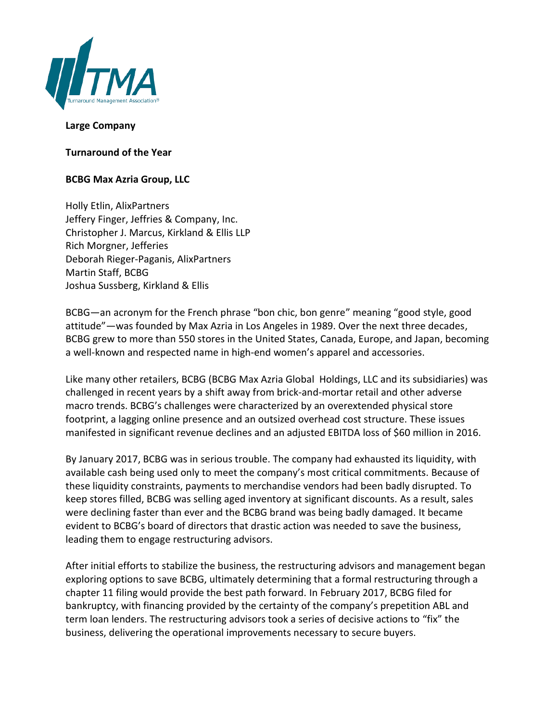

## **Large Company**

**Turnaround of the Year**

## **BCBG Max Azria Group, LLC**

Holly Etlin, AlixPartners Jeffery Finger, Jeffries & Company, Inc. Christopher J. Marcus, Kirkland & Ellis LLP Rich Morgner, Jefferies Deborah Rieger-Paganis, AlixPartners Martin Staff, BCBG Joshua Sussberg, Kirkland & Ellis

BCBG—an acronym for the French phrase "bon chic, bon genre" meaning "good style, good attitude"—was founded by Max Azria in Los Angeles in 1989. Over the next three decades, BCBG grew to more than 550 stores in the United States, Canada, Europe, and Japan, becoming a well-known and respected name in high-end women's apparel and accessories.

Like many other retailers, BCBG (BCBG Max Azria Global Holdings, LLC and its subsidiaries) was challenged in recent years by a shift away from brick‐and‐mortar retail and other adverse macro trends. BCBG's challenges were characterized by an overextended physical store footprint, a lagging online presence and an outsized overhead cost structure. These issues manifested in significant revenue declines and an adjusted EBITDA loss of \$60 million in 2016.

By January 2017, BCBG was in serious trouble. The company had exhausted its liquidity, with available cash being used only to meet the company's most critical commitments. Because of these liquidity constraints, payments to merchandise vendors had been badly disrupted. To keep stores filled, BCBG was selling aged inventory at significant discounts. As a result, sales were declining faster than ever and the BCBG brand was being badly damaged. It became evident to BCBG's board of directors that drastic action was needed to save the business, leading them to engage restructuring advisors.

After initial efforts to stabilize the business, the restructuring advisors and management began exploring options to save BCBG, ultimately determining that a formal restructuring through a chapter 11 filing would provide the best path forward. In February 2017, BCBG filed for bankruptcy, with financing provided by the certainty of the company's prepetition ABL and term loan lenders. The restructuring advisors took a series of decisive actions to "fix" the business, delivering the operational improvements necessary to secure buyers.